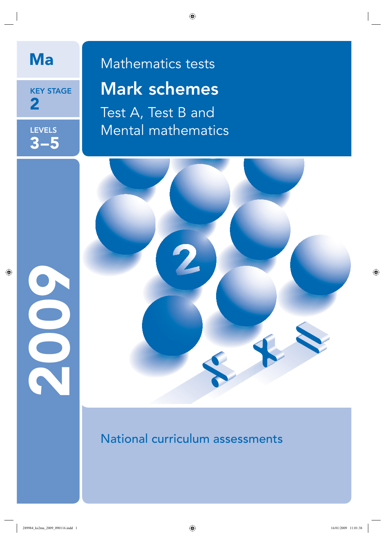

KEY STAGE 2

**LEVELS** 3–5

2009

# Ma Mathematics tests Mark schemes

Test A, Test B and Mental mathematics



National curriculum assessments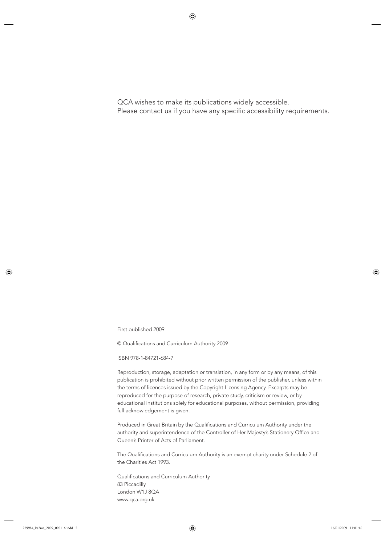QCA wishes to make its publications widely accessible. Please contact us if you have any specific accessibility requirements.

First published 2009

© Qualifications and Curriculum Authority 2009

ISBN 978-1-84721-684-7

Reproduction, storage, adaptation or translation, in any form or by any means, of this publication is prohibited without prior written permission of the publisher, unless within the terms of licences issued by the Copyright Licensing Agency. Excerpts may be reproduced for the purpose of research, private study, criticism or review, or by educational institutions solely for educational purposes, without permission, providing full acknowledgement is given.

Produced in Great Britain by the Qualifications and Curriculum Authority under the authority and superintendence of the Controller of Her Majesty's Stationery Office and Queen's Printer of Acts of Parliament.

The Qualifications and Curriculum Authority is an exempt charity under Schedule 2 of the Charities Act 1993.

Qualifications and Curriculum Authority 83 Piccadilly London W1J 8QA www.qca.org.uk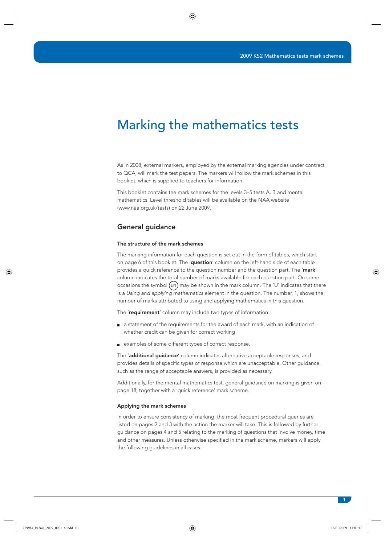### Marking the mathematics tests

As in 2008, external markers, employed by the external marking agencies under contract to QCA, will mark the test papers. The markers will follow the mark schemes in this booklet, which is supplied to teachers for information.

This booklet contains the mark schemes for the levels 3–5 tests A, B and mental mathematics. Level threshold tables will be available on the NAA website (www.naa.org.uk/tests) on 22 June 2009.

#### General guidance

#### The structure of the mark schemes

The marking information for each question is set out in the form of tables, which start on page 6 of this booklet. The 'question' column on the left-hand side of each table provides a quick reference to the question number and the question part. The 'mark' column indicates the total number of marks available for each question part. On some occasions the symbol  $(v_1)$  may be shown in the mark column. The 'U' indicates that there is a Using and applying mathematics element in the question. The number, 1, shows the number of marks attributed to using and applying mathematics in this question.

The 'requirement' column may include two types of information:

- a statement of the requirements for the award of each mark, with an indication of whether credit can be given for correct working
- examples of some different types of correct response.

The 'additional guidance' column indicates alternative acceptable responses, and provides details of specific types of response which are unacceptable. Other guidance, such as the range of acceptable answers, is provided as necessary.

Additionally, for the mental mathematics test, general guidance on marking is given on page 18, together with a 'quick reference' mark scheme.

#### Applying the mark schemes

In order to ensure consistency of marking, the most frequent procedural queries are listed on pages 2 and 3 with the action the marker will take. This is followed by further guidance on pages 4 and 5 relating to the marking of questions that involve money, time and other measures. Unless otherwise specified in the mark scheme, markers will apply the following guidelines in all cases.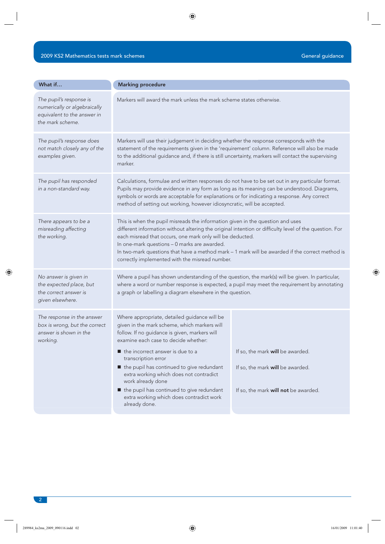| What if                                                                                                    | <b>Marking procedure</b>                                                                                                                                                                                                                                                                                                                                                                                                                                                  |                                                                                                              |  |
|------------------------------------------------------------------------------------------------------------|---------------------------------------------------------------------------------------------------------------------------------------------------------------------------------------------------------------------------------------------------------------------------------------------------------------------------------------------------------------------------------------------------------------------------------------------------------------------------|--------------------------------------------------------------------------------------------------------------|--|
| The pupil's response is<br>numerically or algebraically<br>equivalent to the answer in<br>the mark scheme. | Markers will award the mark unless the mark scheme states otherwise.                                                                                                                                                                                                                                                                                                                                                                                                      |                                                                                                              |  |
| The pupil's response does<br>not match closely any of the<br>examples given.                               | Markers will use their judgement in deciding whether the response corresponds with the<br>statement of the requirements given in the 'requirement' column. Reference will also be made<br>to the additional guidance and, if there is still uncertainty, markers will contact the supervising<br>marker.                                                                                                                                                                  |                                                                                                              |  |
| The pupil has responded<br>in a non-standard way.                                                          | Calculations, formulae and written responses do not have to be set out in any particular format.<br>Pupils may provide evidence in any form as long as its meaning can be understood. Diagrams,<br>symbols or words are acceptable for explanations or for indicating a response. Any correct<br>method of setting out working, however idiosyncratic, will be accepted.                                                                                                  |                                                                                                              |  |
| There appears to be a<br>misreading affecting<br>the working.                                              | This is when the pupil misreads the information given in the question and uses<br>different information without altering the original intention or difficulty level of the question. For<br>each misread that occurs, one mark only will be deducted.<br>In one-mark questions - 0 marks are awarded.<br>In two-mark questions that have a method mark - 1 mark will be awarded if the correct method is<br>correctly implemented with the misread number.                |                                                                                                              |  |
| No answer is given in<br>the expected place, but<br>the correct answer is<br>given elsewhere.              | Where a pupil has shown understanding of the question, the mark(s) will be given. In particular,<br>where a word or number response is expected, a pupil may meet the requirement by annotating<br>a graph or labelling a diagram elsewhere in the question.                                                                                                                                                                                                              |                                                                                                              |  |
| The response in the answer<br>box is wrong, but the correct<br>answer is shown in the<br>working.          | Where appropriate, detailed guidance will be<br>given in the mark scheme, which markers will<br>follow. If no guidance is given, markers will<br>examine each case to decide whether:<br>the incorrect answer is due to a<br>transcription error<br>■ the pupil has continued to give redundant<br>extra working which does not contradict<br>work already done<br>the pupil has continued to give redundant<br>extra working which does contradict work<br>already done. | If so, the mark will be awarded.<br>If so, the mark will be awarded.<br>If so, the mark will not be awarded. |  |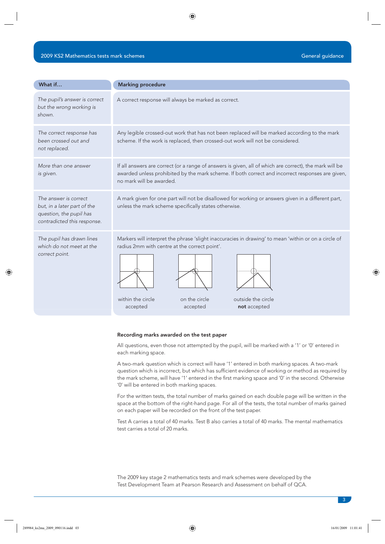| What if                                                                                                        | <b>Marking procedure</b>                                                                                                                                                                                                                                  |  |  |
|----------------------------------------------------------------------------------------------------------------|-----------------------------------------------------------------------------------------------------------------------------------------------------------------------------------------------------------------------------------------------------------|--|--|
| The pupil's answer is correct<br>but the wrong working is<br>shown.                                            | A correct response will always be marked as correct.                                                                                                                                                                                                      |  |  |
| The correct response has<br>been crossed out and<br>not replaced.                                              | Any legible crossed-out work that has not been replaced will be marked according to the mark<br>scheme. If the work is replaced, then crossed-out work will not be considered.                                                                            |  |  |
| More than one answer<br>is given.                                                                              | If all answers are correct (or a range of answers is given, all of which are correct), the mark will be<br>awarded unless prohibited by the mark scheme. If both correct and incorrect responses are given,<br>no mark will be awarded.                   |  |  |
| The answer is correct<br>but, in a later part of the<br>question, the pupil has<br>contradicted this response. | A mark given for one part will not be disallowed for working or answers given in a different part,<br>unless the mark scheme specifically states otherwise.                                                                                               |  |  |
| The pupil has drawn lines<br>which do not meet at the<br>correct point.                                        | Markers will interpret the phrase 'slight inaccuracies in drawing' to mean 'within or on a circle of<br>radius 2mm with centre at the correct point'.<br>outside the circle<br>within the circle<br>on the circle<br>not accepted<br>accepted<br>accepted |  |  |

#### Recording marks awarded on the test paper

All questions, even those not attempted by the pupil, will be marked with a '1' or '0' entered in each marking space.

not accepted

A two-mark question which is correct will have '1' entered in both marking spaces. A two-mark question which is incorrect, but which has sufficient evidence of working or method as required by the mark scheme, will have '1' entered in the first marking space and '0' in the second. Otherwise '0' will be entered in both marking spaces.

For the written tests, the total number of marks gained on each double page will be written in the space at the bottom of the right-hand page. For all of the tests, the total number of marks gained on each paper will be recorded on the front of the test paper.

Test A carries a total of 40 marks. Test B also carries a total of 40 marks. The mental mathematics test carries a total of 20 marks.

The 2009 key stage 2 mathematics tests and mark schemes were developed by the Test Development Team at Pearson Research and Assessment on behalf of QCA.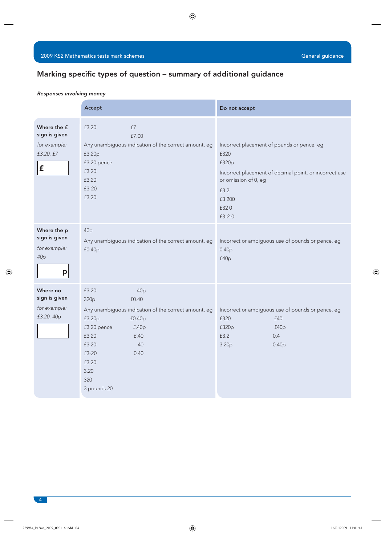#### Marking specific types of question - summary of additional guidance

#### Responses involving money

|                                                                      | Accept                                                                                                                                                                                                                                | Do not accept                                                                                                                                                                           |
|----------------------------------------------------------------------|---------------------------------------------------------------------------------------------------------------------------------------------------------------------------------------------------------------------------------------|-----------------------------------------------------------------------------------------------------------------------------------------------------------------------------------------|
| Where the £<br>sign is given<br>for example:<br>£3.20, £7<br>£       | £3.20<br>£7<br>£7.00<br>Any unambiguous indication of the correct amount, eg<br>£3.20p<br>£3 20 pence<br>£3 20<br>£3,20<br>£3-20<br>£3:20                                                                                             | Incorrect placement of pounds or pence, eg<br>£320<br>£320p<br>Incorrect placement of decimal point, or incorrect use<br>or omission of 0, eg<br>£3.2<br>£3 200<br>£320<br>$£3 - 2 - 0$ |
| Where the p<br>sign is given<br>for example:<br>40 <sub>p</sub><br>p | 40p<br>Any unambiguous indication of the correct amount, eg<br>£0.40p                                                                                                                                                                 | Incorrect or ambiguous use of pounds or pence, eg<br>0.40p<br>f40p                                                                                                                      |
| Where no<br>sign is given<br>for example:<br>£3.20, 40p              | £3.20<br>40p<br>£0.40<br>320 <sub>p</sub><br>Any unambiguous indication of the correct amount, eg<br>£3.20p<br>f0.40p<br>£3 20 pence<br>f.40p<br>£3 20<br>f.40<br>£3,20<br>40<br>£3-20<br>0.40<br>£3:20<br>3.20<br>320<br>3 pounds 20 | Incorrect or ambiguous use of pounds or pence, eg<br>£320<br>£40<br>£320p<br>f40p<br>£3.2<br>0.4<br>3.20 <sub>p</sub><br>0.40 <sub>p</sub>                                              |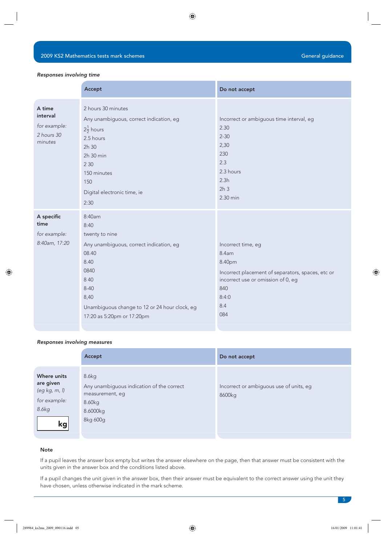#### Responses involving time

|                                                             | Accept                                                                                                                                                                                                           | Do not accept                                                                                                                                                  |
|-------------------------------------------------------------|------------------------------------------------------------------------------------------------------------------------------------------------------------------------------------------------------------------|----------------------------------------------------------------------------------------------------------------------------------------------------------------|
| A time<br>interval<br>for example:<br>2 hours 30<br>minutes | 2 hours 30 minutes<br>Any unambiguous, correct indication, eg<br>$2\frac{1}{2}$ hours<br>2.5 hours<br>2h 30<br>2h 30 min<br>2 3 0<br>150 minutes<br>150<br>Digital electronic time, ie<br>2:30                   | Incorrect or ambiguous time interval, eg<br>2.30<br>$2 - 30$<br>2,30<br>230<br>2.3<br>2.3 hours<br>2.3h<br>2h <sub>3</sub><br>2.30 min                         |
| A specific<br>time<br>for example:<br>8:40am, 17:20         | 8:40am<br>8:40<br>twenty to nine<br>Any unambiguous, correct indication, eg<br>08.40<br>8.40<br>0840<br>8 4 0<br>$8 - 40$<br>8,40<br>Unambiguous change to 12 or 24 hour clock, eg<br>17:20 as 5:20pm or 17:20pm | Incorrect time, eg<br>8.4am<br>8.40pm<br>Incorrect placement of separators, spaces, etc or<br>incorrect use or omission of 0, eg<br>840<br>8:4:0<br>8.4<br>084 |

#### Responses involving measures

|                                                                          | Accept                                                                                                  | Do not accept                                     |
|--------------------------------------------------------------------------|---------------------------------------------------------------------------------------------------------|---------------------------------------------------|
| Where units<br>are given<br>(eg kg, m, l)<br>for example:<br>8.6kg<br>kg | 8.6kg<br>Any unambiguous indication of the correct<br>measurement, eg<br>8.60kg<br>8.6000kg<br>8kg 600g | Incorrect or ambiguous use of units, eg<br>8600kg |

#### Note

If a pupil leaves the answer box empty but writes the answer elsewhere on the page, then that answer must be consistent with the units given in the answer box and the conditions listed above.

If a pupil changes the unit given in the answer box, then their answer must be equivalent to the correct answer using the unit they have chosen, unless otherwise indicated in the mark scheme.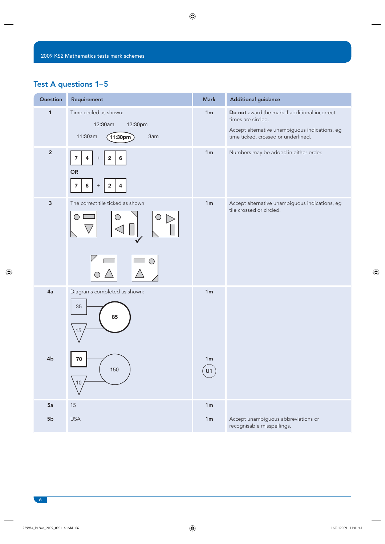### Test A questions 1–5

| Question       | Requirement                                                                                       | <b>Mark</b>          | <b>Additional guidance</b>                                                                                                                                   |
|----------------|---------------------------------------------------------------------------------------------------|----------------------|--------------------------------------------------------------------------------------------------------------------------------------------------------------|
| $\mathbf{1}$   | Time circled as shown:<br>12:30am<br>12:30pm<br>11:30am<br>(11:30 <sub>pm</sub> )<br>3am          | 1m                   | Do not award the mark if additional incorrect<br>times are circled.<br>Accept alternative unambiguous indications, eg<br>time ticked, crossed or underlined. |
| $\overline{2}$ | $\bf 7$<br>$\mathbf 2$<br>$\bf 6$<br>4<br>$^+$<br>OR<br>$\bf 7$<br>$\mathbf{2}$<br>6<br>$^+$<br>4 | 1 <sub>m</sub>       | Numbers may be added in either order.                                                                                                                        |
| $\mathsf 3$    | The correct tile ticked as shown:                                                                 | 1 <sub>m</sub>       | Accept alternative unambiguous indications, eg<br>tile crossed or circled.                                                                                   |
|                |                                                                                                   |                      |                                                                                                                                                              |
| 4a             | Diagrams completed as shown:<br>35<br>85<br>15                                                    | 1 <sub>m</sub>       |                                                                                                                                                              |
| 4b             | 70<br>150<br>10                                                                                   | 1 <sub>m</sub><br>U1 |                                                                                                                                                              |
| 5a             | $15\,$                                                                                            | 1m                   |                                                                                                                                                              |
| ${\bf 5b}$     | <b>USA</b>                                                                                        | 1 <sub>m</sub>       | Accept unambiguous abbreviations or<br>recognisable misspellings.                                                                                            |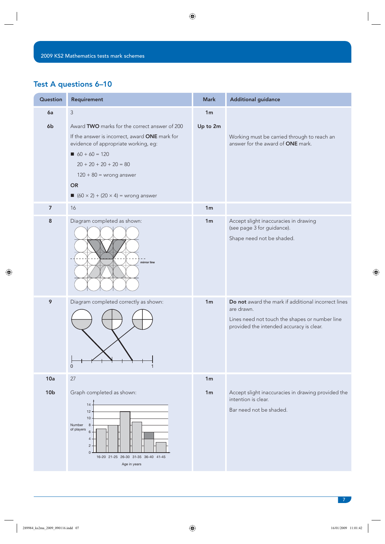### Test A questions 6–10

| Question        | Requirement                                                                                                                                                                                                                                                                   | <b>Mark</b>    | <b>Additional guidance</b>                                                                                                                                      |
|-----------------|-------------------------------------------------------------------------------------------------------------------------------------------------------------------------------------------------------------------------------------------------------------------------------|----------------|-----------------------------------------------------------------------------------------------------------------------------------------------------------------|
| 6a              | 3                                                                                                                                                                                                                                                                             | 1 <sub>m</sub> |                                                                                                                                                                 |
| 6b              | Award TWO marks for the correct answer of 200<br>If the answer is incorrect, award ONE mark for<br>evidence of appropriate working, eg:<br>$60 + 60 = 120$<br>$20 + 20 + 20 + 20 = 80$<br>$120 + 80 =$ wrong answer<br><b>OR</b><br>$\Box$ (60 × 2) + (20 × 4) = wrong answer | Up to 2m       | Working must be carried through to reach an<br>answer for the award of ONE mark.                                                                                |
| $\overline{7}$  | 16                                                                                                                                                                                                                                                                            | 1 <sub>m</sub> |                                                                                                                                                                 |
| 8               | Diagram completed as shown:<br>mirror line                                                                                                                                                                                                                                    | 1 <sub>m</sub> | Accept slight inaccuracies in drawing<br>(see page 3 for guidance).<br>Shape need not be shaded.                                                                |
| 9               | Diagram completed correctly as shown:<br>$\Omega$                                                                                                                                                                                                                             | 1 <sub>m</sub> | Do not award the mark if additional incorrect lines<br>are drawn.<br>Lines need not touch the shapes or number line<br>provided the intended accuracy is clear. |
| 10a             | 27                                                                                                                                                                                                                                                                            | 1 <sub>m</sub> |                                                                                                                                                                 |
| 10 <sub>b</sub> | Graph completed as shown:<br>14<br>12<br>10<br>Number<br>8<br>of players<br>6<br>4<br>$\overline{c}$<br>$\Omega$<br>16-20 21-25 26-30 31-35 36-40 41-45<br>Age in years                                                                                                       | 1 <sub>m</sub> | Accept slight inaccuracies in drawing provided the<br>intention is clear.<br>Bar need not be shaded.                                                            |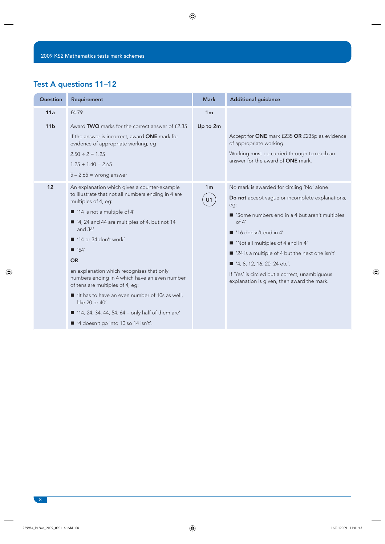### Test A questions 11–12

| Question        | Requirement                                                                                                                                                                                                                                                                                                                                                                                                                                                                                                                                                                                                              | <b>Mark</b>          | <b>Additional guidance</b>                                                                                                                                                                                                                                                                                                                                                                                                         |
|-----------------|--------------------------------------------------------------------------------------------------------------------------------------------------------------------------------------------------------------------------------------------------------------------------------------------------------------------------------------------------------------------------------------------------------------------------------------------------------------------------------------------------------------------------------------------------------------------------------------------------------------------------|----------------------|------------------------------------------------------------------------------------------------------------------------------------------------------------------------------------------------------------------------------------------------------------------------------------------------------------------------------------------------------------------------------------------------------------------------------------|
| 11a             | £4.79                                                                                                                                                                                                                                                                                                                                                                                                                                                                                                                                                                                                                    | 1 <sub>m</sub>       |                                                                                                                                                                                                                                                                                                                                                                                                                                    |
| 11 <sub>b</sub> | Award TWO marks for the correct answer of £2.35<br>If the answer is incorrect, award ONE mark for<br>evidence of appropriate working, eg<br>$2.50 \div 2 = 1.25$<br>$1.25 + 1.40 = 2.65$<br>$5 - 2.65$ = wrong answer                                                                                                                                                                                                                                                                                                                                                                                                    | Up to 2m             | Accept for ONE mark £235 OR £235p as evidence<br>of appropriate working.<br>Working must be carried through to reach an<br>answer for the award of <b>ONE</b> mark.                                                                                                                                                                                                                                                                |
| 12              | An explanation which gives a counter-example<br>to illustrate that not all numbers ending in 4 are<br>multiples of 4, eg:<br>■ '14 is not a multiple of 4'<br>■ '4, 24 and 44 are multiples of 4, but not 14<br>and $34'$<br>$\blacksquare$ '14 or 34 don't work'<br>$\blacksquare$ '54'<br><b>OR</b><br>an explanation which recognises that only<br>numbers ending in 4 which have an even number<br>of tens are multiples of 4, eg:<br>■ 'It has to have an even number of 10s as well,<br>like 20 or 40'<br>$\blacksquare$ '14, 24, 34, 44, 54, 64 – only half of them are'<br>■ '4 doesn't go into 10 so 14 isn't'. | 1 <sub>m</sub><br>U1 | No mark is awarded for circling 'No' alone.<br>Do not accept vague or incomplete explanations,<br>eg:<br>Some numbers end in a 4 but aren't multiples<br>of 4'<br>$\blacksquare$ '16 doesn't end in 4'<br>■ 'Not all multiples of 4 end in 4'<br>■ '24 is a multiple of 4 but the next one isn't'<br>■ '4, 8, 12, 16, 20, 24 etc'.<br>If 'Yes' is circled but a correct, unambiguous<br>explanation is given, then award the mark. |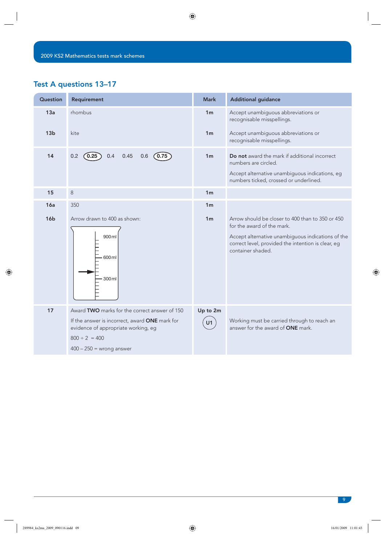### Test A questions 13–17

| <b>Question</b> | Requirement                                                                                                                                                                                | <b>Mark</b>    | <b>Additional guidance</b>                                                                                                                                                                                     |
|-----------------|--------------------------------------------------------------------------------------------------------------------------------------------------------------------------------------------|----------------|----------------------------------------------------------------------------------------------------------------------------------------------------------------------------------------------------------------|
| 13a             | rhombus                                                                                                                                                                                    | 1 <sub>m</sub> | Accept unambiguous abbreviations or<br>recognisable misspellings.                                                                                                                                              |
| 13 <sub>b</sub> | kite                                                                                                                                                                                       | 1 <sub>m</sub> | Accept unambiguous abbreviations or<br>recognisable misspellings.                                                                                                                                              |
| 14              | 0.2<br>0.25<br>0.4<br>0.45<br>(0.75)<br>0.6                                                                                                                                                | 1 <sub>m</sub> | Do not award the mark if additional incorrect<br>numbers are circled.<br>Accept alternative unambiguous indications, eg<br>numbers ticked, crossed or underlined.                                              |
| 15              | 8                                                                                                                                                                                          | 1 <sub>m</sub> |                                                                                                                                                                                                                |
| 16a             | 350                                                                                                                                                                                        | 1 <sub>m</sub> |                                                                                                                                                                                                                |
| 16 <sub>b</sub> | Arrow drawn to 400 as shown:<br>900 ml<br>600 ml<br>300ml                                                                                                                                  | 1 <sub>m</sub> | Arrow should be closer to 400 than to 350 or 450<br>for the award of the mark.<br>Accept alternative unambiguous indications of the<br>correct level, provided the intention is clear, eg<br>container shaded. |
| 17              | Award TWO marks for the correct answer of 150<br>If the answer is incorrect, award ONE mark for<br>evidence of appropriate working, eg<br>$800 \div 2 = 400$<br>$400 - 250 =$ wrong answer | Up to 2m<br>U1 | Working must be carried through to reach an<br>answer for the award of <b>ONE</b> mark.                                                                                                                        |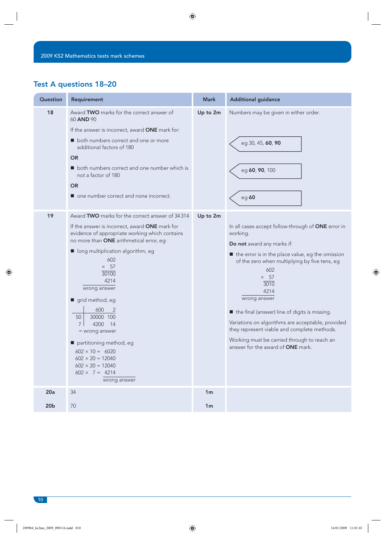### Test A questions 18–20

| Question               | Requirement                                                                                                                                                                                                                                                                                                                                                                                                                                                                                                                                          | <b>Mark</b>                      | <b>Additional guidance</b>                                                                                                                                                                                                                                                                                                                                                                                                                                                                              |
|------------------------|------------------------------------------------------------------------------------------------------------------------------------------------------------------------------------------------------------------------------------------------------------------------------------------------------------------------------------------------------------------------------------------------------------------------------------------------------------------------------------------------------------------------------------------------------|----------------------------------|---------------------------------------------------------------------------------------------------------------------------------------------------------------------------------------------------------------------------------------------------------------------------------------------------------------------------------------------------------------------------------------------------------------------------------------------------------------------------------------------------------|
| 18                     | Award TWO marks for the correct answer of<br>60 AND 90<br>If the answer is incorrect, award ONE mark for:<br>both numbers correct and one or more<br>additional factors of 180<br><b>OR</b><br>both numbers correct and one number which is<br>not a factor of 180<br><b>OR</b><br>one number correct and none incorrect.                                                                                                                                                                                                                            | Up to 2m                         | Numbers may be given in either order.<br>eg 30, 45, 60, 90<br>eg 60, 90, 100<br>eg 60                                                                                                                                                                                                                                                                                                                                                                                                                   |
| 19                     | Award TWO marks for the correct answer of 34314<br>If the answer is incorrect, award <b>ONE</b> mark for<br>evidence of appropriate working which contains<br>no more than ONE arithmetical error, eg:<br>long multiplication algorithm, eg<br>602<br>$\times$ 57<br>30100<br>4214<br>wrong answer<br>grid method, eg<br>600<br>2<br>50<br>30000 100<br>$7^{\circ}$<br>4200 14<br>= wrong answer<br>partitioning method, eg<br>$602 \times 10 = 6020$<br>$602 \times 20 = 12040$<br>$602 \times 20 = 12040$<br>$602 \times 7 = 4214$<br>wrong answer | Up to 2m                         | In all cases accept follow-through of ONE error in<br>working.<br>Do not award any marks if:<br>the error is in the place value, eg the omission<br>of the zero when multiplying by five tens, eg<br>602<br>$\times$ 57<br>3010<br>4214<br>wrong answer<br>the final (answer) line of digits is missing.<br>Variations on algorithms are acceptable, provided<br>they represent viable and complete methods.<br>Working must be carried through to reach an<br>answer for the award of <b>ONE</b> mark. |
| 20a<br>20 <sub>b</sub> | 34<br>70                                                                                                                                                                                                                                                                                                                                                                                                                                                                                                                                             | 1 <sub>m</sub><br>1 <sub>m</sub> |                                                                                                                                                                                                                                                                                                                                                                                                                                                                                                         |
|                        |                                                                                                                                                                                                                                                                                                                                                                                                                                                                                                                                                      |                                  |                                                                                                                                                                                                                                                                                                                                                                                                                                                                                                         |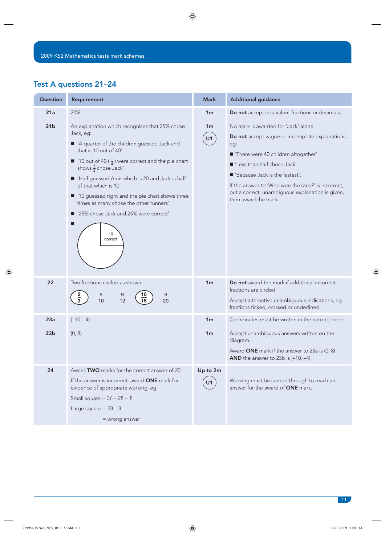### Test A questions 21–24

| Question        | Requirement                                                                                                                                                                                                                                                                                                                                                                                                                                                                 | <b>Mark</b>          | <b>Additional guidance</b>                                                                                                                                                                                                                                                                                                                   |
|-----------------|-----------------------------------------------------------------------------------------------------------------------------------------------------------------------------------------------------------------------------------------------------------------------------------------------------------------------------------------------------------------------------------------------------------------------------------------------------------------------------|----------------------|----------------------------------------------------------------------------------------------------------------------------------------------------------------------------------------------------------------------------------------------------------------------------------------------------------------------------------------------|
| 21a             | 20%                                                                                                                                                                                                                                                                                                                                                                                                                                                                         | 1 <sub>m</sub>       | Do not accept equivalent fractions or decimals.                                                                                                                                                                                                                                                                                              |
| 21 <sub>b</sub> | An explanation which recognises that 25% chose<br>Jack, eg:<br>A quarter of the children guessed Jack and<br>that is 10 out of 40'<br>10 out of 40 ( $\frac{1}{4}$ ) were correct and the pie chart<br>shows $\frac{1}{4}$ chose Jack'<br>Half guessed Amir which is 20 and Jack is half<br>of that which is 10'<br>■ '10 guessed right and the pie chart shows three<br>times as many chose the other runners'<br>■ '25% chose Jack and 25% were correct'<br>10<br>correct | 1 <sub>m</sub><br>U1 | No mark is awarded for 'Jack' alone.<br>Do not accept vague or incomplete explanations,<br>eg:<br>"There were 40 children altogether'<br>■ 'Less than half chose Jack'<br>■ 'Because Jack is the fastest'.<br>If the answer to 'Who won the race?' is incorrect,<br>but a correct, unambiguous explanation is given,<br>then award the mark. |
| 22              | Two fractions circled as shown:<br>9<br>$\frac{6}{10}$<br>6<br>$\frac{2}{3}$<br>$\frac{1}{12}$<br>$\overline{20}$<br>15                                                                                                                                                                                                                                                                                                                                                     | 1 <sub>m</sub>       | Do not award the mark if additional incorrect<br>fractions are circled.<br>Accept alternative unambiguous indications, eg<br>fractions ticked, crossed or underlined.                                                                                                                                                                        |
| 23a             | $(-10, -4)$                                                                                                                                                                                                                                                                                                                                                                                                                                                                 | 1 <sub>m</sub>       | Coordinates must be written in the correct order.                                                                                                                                                                                                                                                                                            |
| 23 <sub>b</sub> | (0, 8)                                                                                                                                                                                                                                                                                                                                                                                                                                                                      | 1 <sub>m</sub>       | Accept unambiguous answers written on the<br>diagram.<br>Award ONE mark if the answer to 23a is $(0, 8)$<br>AND the answer to 23b is $(-10, -4)$ .                                                                                                                                                                                           |
| 24              | Award <b>TWO</b> marks for the correct answer of 20                                                                                                                                                                                                                                                                                                                                                                                                                         | Up to 2m             |                                                                                                                                                                                                                                                                                                                                              |
|                 | If the answer is incorrect, award ONE mark for<br>evidence of appropriate working, eg<br>Small square = $36 - 28 = 8$                                                                                                                                                                                                                                                                                                                                                       | U1                   | Working must be carried through to reach an<br>answer for the award of ONE mark.                                                                                                                                                                                                                                                             |
|                 | Large square = $28 - 8$                                                                                                                                                                                                                                                                                                                                                                                                                                                     |                      |                                                                                                                                                                                                                                                                                                                                              |
|                 | = wrong answer                                                                                                                                                                                                                                                                                                                                                                                                                                                              |                      |                                                                                                                                                                                                                                                                                                                                              |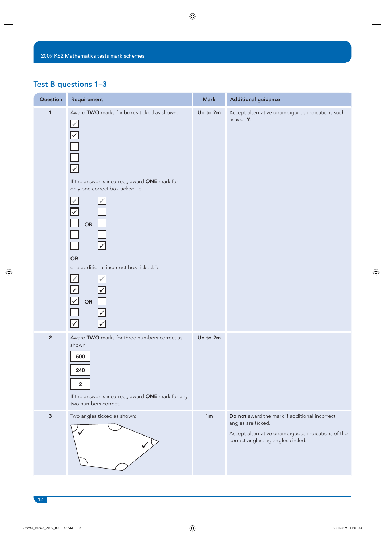### Test B questions 1–3

| Question       | Requirement                                                                                                                                                                                                                                                                                                                                                         | <b>Mark</b>    | <b>Additional guidance</b>                                                                                                                                     |
|----------------|---------------------------------------------------------------------------------------------------------------------------------------------------------------------------------------------------------------------------------------------------------------------------------------------------------------------------------------------------------------------|----------------|----------------------------------------------------------------------------------------------------------------------------------------------------------------|
| $\mathbf{1}$   | Award TWO marks for boxes ticked as shown:<br>$\swarrow$<br>$\sqrt{}$<br>$\overline{\mathsf{v}}$<br>If the answer is incorrect, award ONE mark for<br>only one correct box ticked, ie<br>$\checkmark$<br>$\overline{\vee}$<br>OR<br><b>OR</b><br>one additional incorrect box ticked, ie<br>$\checkmark$<br>$\boxed{\checkmark}$<br>$\mathcal V$<br>OR<br>$\sqrt{}$ | Up to 2m       | Accept alternative unambiguous indications such<br>as x or Y.                                                                                                  |
| $\overline{2}$ | Award TWO marks for three numbers correct as<br>shown:<br>500<br>240<br>$\mathbf 2$<br>If the answer is incorrect, award ONE mark for any<br>two numbers correct.                                                                                                                                                                                                   | Up to 2m       |                                                                                                                                                                |
| $\mathbf{3}$   | Two angles ticked as shown:                                                                                                                                                                                                                                                                                                                                         | 1 <sub>m</sub> | Do not award the mark if additional incorrect<br>angles are ticked.<br>Accept alternative unambiguous indications of the<br>correct angles, eg angles circled. |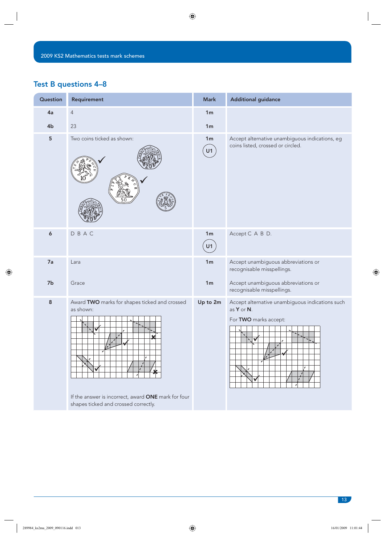### Test B questions 4–8

| Question       | Requirement                                                                                                                                                         | <b>Mark</b>          | <b>Additional guidance</b>                                                                            |
|----------------|---------------------------------------------------------------------------------------------------------------------------------------------------------------------|----------------------|-------------------------------------------------------------------------------------------------------|
| 4a             | $\sqrt{4}$                                                                                                                                                          | 1 <sub>m</sub>       |                                                                                                       |
| 4 <sub>b</sub> | 23                                                                                                                                                                  | 1 <sub>m</sub>       |                                                                                                       |
| 5              | Two coins ticked as shown:                                                                                                                                          | 1 <sub>m</sub><br>U1 | Accept alternative unambiguous indications, eg<br>coins listed, crossed or circled.                   |
| 6              | DBAC                                                                                                                                                                | 1 <sub>m</sub><br>U1 | Accept C A B D.                                                                                       |
| 7a             | Lara                                                                                                                                                                | 1 <sub>m</sub>       | Accept unambiguous abbreviations or<br>recognisable misspellings.                                     |
| 7b             | Grace                                                                                                                                                               | 1 <sub>m</sub>       | Accept unambiguous abbreviations or<br>recognisable misspellings.                                     |
| $\bf 8$        | Award TWO marks for shapes ticked and crossed<br>as shown:<br>v<br>ı<br>If the answer is incorrect, award ONE mark for four<br>shapes ticked and crossed correctly. | Up to 2m             | Accept alternative unambiguous indications such<br>as $Y$ or $N$ .<br>For TWO marks accept:<br>v<br>, |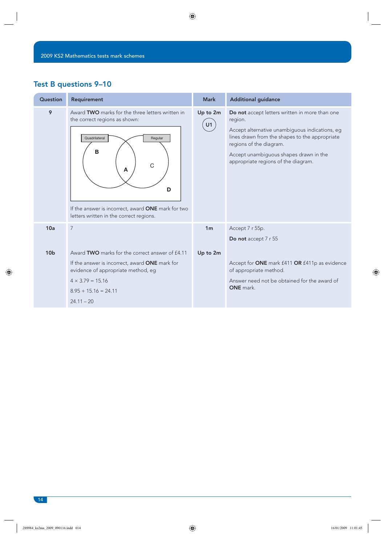### Test B questions 9–10

| Question        | <b>Requirement</b>                                                                                                                                                                                                                        | <b>Mark</b>    | <b>Additional guidance</b>                                                                                                                                                                                                                                                |
|-----------------|-------------------------------------------------------------------------------------------------------------------------------------------------------------------------------------------------------------------------------------------|----------------|---------------------------------------------------------------------------------------------------------------------------------------------------------------------------------------------------------------------------------------------------------------------------|
| 9               | Award TWO marks for the three letters written in<br>the correct regions as shown:<br>Quadrilateral<br>Regular<br>B<br>C<br>A<br>D<br>If the answer is incorrect, award <b>ONE</b> mark for two<br>letters written in the correct regions. | Up to 2m<br>U1 | Do not accept letters written in more than one<br>region.<br>Accept alternative unambiguous indications, eg<br>lines drawn from the shapes to the appropriate<br>regions of the diagram.<br>Accept unambiguous shapes drawn in the<br>appropriate regions of the diagram. |
| 10a             | $\overline{7}$                                                                                                                                                                                                                            | 1 <sub>m</sub> | Accept 7 r 55p.<br>Do not accept 7 r 55                                                                                                                                                                                                                                   |
| 10 <sub>b</sub> | Award TWO marks for the correct answer of £4.11                                                                                                                                                                                           | Up to 2m       |                                                                                                                                                                                                                                                                           |
|                 | If the answer is incorrect, award ONE mark for<br>evidence of appropriate method, eg                                                                                                                                                      |                | Accept for ONE mark £411 OR £411p as evidence<br>of appropriate method.                                                                                                                                                                                                   |
|                 | $4 \times 3.79 = 15.16$                                                                                                                                                                                                                   |                | Answer need not be obtained for the award of                                                                                                                                                                                                                              |
|                 | $8.95 + 15.16 = 24.11$                                                                                                                                                                                                                    |                | ONE mark.                                                                                                                                                                                                                                                                 |
|                 | $24.11 - 20$                                                                                                                                                                                                                              |                |                                                                                                                                                                                                                                                                           |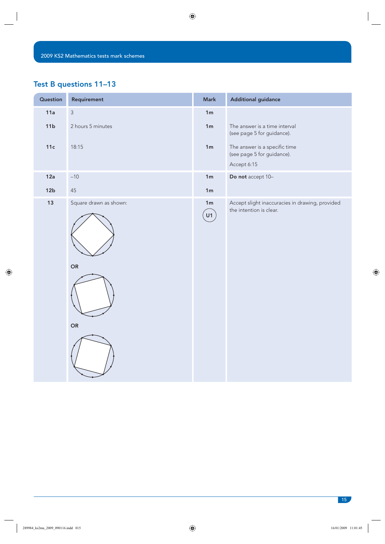### Test B questions 11–13

| Question        | Requirement                        | <b>Mark</b>                      | <b>Additional guidance</b>                                                 |
|-----------------|------------------------------------|----------------------------------|----------------------------------------------------------------------------|
| 11a             | $\mathsf 3$                        | 1m                               |                                                                            |
| 11 <sub>b</sub> | 2 hours 5 minutes                  | 1m                               | The answer is a time interval<br>(see page 5 for guidance).                |
| 11c             | 18:15                              | 1m                               | The answer is a specific time<br>(see page 5 for guidance).                |
|                 |                                    |                                  | Accept 6:15                                                                |
| 12a             | $-10$                              | 1 <sub>m</sub>                   | Do not accept 10-                                                          |
| 12 <sub>b</sub> | $45\,$                             | 1m                               |                                                                            |
| $13$            | Square drawn as shown:<br>OR<br>OR | 1m<br>$\left[\mathsf{U1}\right]$ | Accept slight inaccuracies in drawing, provided<br>the intention is clear. |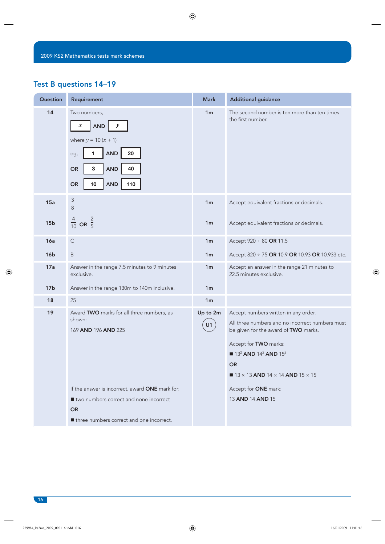### Test B questions 14–19

| Question        | Requirement                                                                                                                                                                                            | <b>Mark</b>    | <b>Additional guidance</b>                                                                                                                                                                                                                                                                        |
|-----------------|--------------------------------------------------------------------------------------------------------------------------------------------------------------------------------------------------------|----------------|---------------------------------------------------------------------------------------------------------------------------------------------------------------------------------------------------------------------------------------------------------------------------------------------------|
| 14              | Two numbers,<br>$\boldsymbol{x}$<br><b>AND</b><br>$\mathcal{Y}$<br>where $y = 10(x + 1)$<br>20<br>1<br><b>AND</b><br>eg,<br>3<br>40<br><b>AND</b><br><b>OR</b><br>10<br><b>AND</b><br>110<br><b>OR</b> | 1 <sub>m</sub> | The second number is ten more than ten times<br>the first number.                                                                                                                                                                                                                                 |
| 15a             | $\frac{3}{8}$                                                                                                                                                                                          | 1 <sub>m</sub> | Accept equivalent fractions or decimals.                                                                                                                                                                                                                                                          |
| 15 <sub>b</sub> | $\frac{4}{10}$ OR $\frac{2}{5}$                                                                                                                                                                        | 1 <sub>m</sub> | Accept equivalent fractions or decimals.                                                                                                                                                                                                                                                          |
| 16a             | $\mathsf C$                                                                                                                                                                                            | 1 <sub>m</sub> | Accept 920 ÷ 80 OR 11.5                                                                                                                                                                                                                                                                           |
| 16 <sub>b</sub> | B                                                                                                                                                                                                      | 1 <sub>m</sub> | Accept 820 ÷ 75 OR 10.9 OR 10.93 OR 10.933 etc.                                                                                                                                                                                                                                                   |
| 17a             | Answer in the range 7.5 minutes to 9 minutes<br>exclusive.                                                                                                                                             | 1 <sub>m</sub> | Accept an answer in the range 21 minutes to<br>22.5 minutes exclusive.                                                                                                                                                                                                                            |
| 17 <sub>b</sub> | Answer in the range 130m to 140m inclusive.                                                                                                                                                            | 1 <sub>m</sub> |                                                                                                                                                                                                                                                                                                   |
| 18              | 25                                                                                                                                                                                                     | 1 <sub>m</sub> |                                                                                                                                                                                                                                                                                                   |
| 19              | Award TWO marks for all three numbers, as<br>shown:<br>169 AND 196 AND 225                                                                                                                             | Up to 2m<br>U1 | Accept numbers written in any order.<br>All three numbers and no incorrect numbers must<br>be given for the award of TWO marks.<br>Accept for TWO marks:<br>$\blacksquare$ 13 <sup>2</sup> AND 14 <sup>2</sup> AND 15 <sup>2</sup><br><b>OR</b><br>$\blacksquare$ 13 × 13 AND 14 × 14 AND 15 × 15 |
|                 | If the answer is incorrect, award ONE mark for:<br>■ two numbers correct and none incorrect<br><b>OR</b>                                                                                               |                | Accept for ONE mark:<br>13 AND 14 AND 15                                                                                                                                                                                                                                                          |
|                 | If three numbers correct and one incorrect.                                                                                                                                                            |                |                                                                                                                                                                                                                                                                                                   |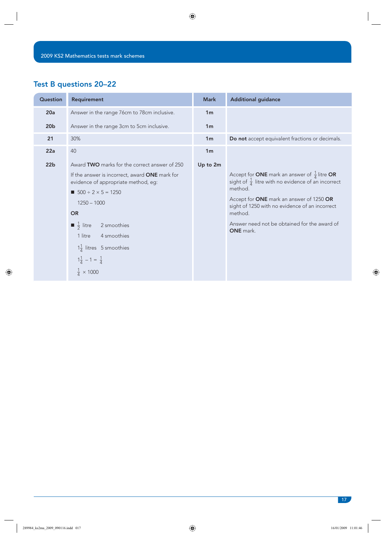### Test B questions 20–22

| Question        | Requirement                                                                           | <b>Mark</b>    | <b>Additional guidance</b>                                                                                                             |
|-----------------|---------------------------------------------------------------------------------------|----------------|----------------------------------------------------------------------------------------------------------------------------------------|
| 20a             | Answer in the range 76cm to 78cm inclusive.                                           | 1 <sub>m</sub> |                                                                                                                                        |
| 20 <sub>b</sub> | Answer in the range 3cm to 5cm inclusive.                                             | 1 <sub>m</sub> |                                                                                                                                        |
| 21              | 30%                                                                                   | 1 <sub>m</sub> | Do not accept equivalent fractions or decimals.                                                                                        |
| 22a             | 40                                                                                    | 1 <sub>m</sub> |                                                                                                                                        |
| 22 <sub>b</sub> | Award TWO marks for the correct answer of 250                                         | Up to 2m       |                                                                                                                                        |
|                 | If the answer is incorrect, award ONE mark for<br>evidence of appropriate method, eg: |                | Accept for <b>ONE</b> mark an answer of $\frac{1}{4}$ litre <b>OR</b><br>sight of $\frac{1}{4}$ litre with no evidence of an incorrect |
|                 | $500 \div 2 \times 5 = 1250$                                                          |                | method.                                                                                                                                |
|                 | $1250 - 1000$                                                                         |                | Accept for ONE mark an answer of 1250 OR<br>sight of 1250 with no evidence of an incorrect                                             |
|                 | <b>OR</b>                                                                             |                | method.                                                                                                                                |
|                 | $\blacksquare \frac{1}{2}$ litre<br>2 smoothies                                       |                | Answer need not be obtained for the award of<br>ONE mark.                                                                              |
|                 | 4 smoothies<br>1 litre                                                                |                |                                                                                                                                        |
|                 | $1\frac{1}{4}$ litres 5 smoothies                                                     |                |                                                                                                                                        |
|                 | $1\frac{1}{4} - 1 = \frac{1}{4}$                                                      |                |                                                                                                                                        |
|                 | $\frac{1}{4} \times 1000$                                                             |                |                                                                                                                                        |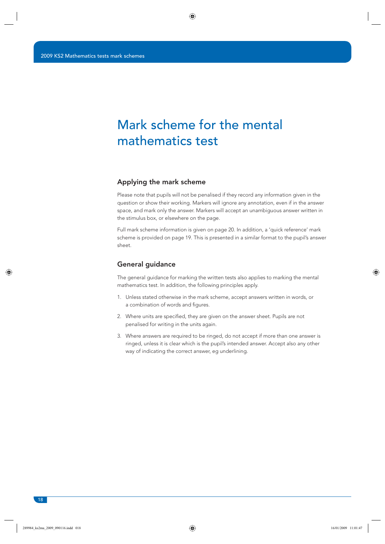## Mark scheme for the mental mathematics test

#### Applying the mark scheme

Please note that pupils will not be penalised if they record any information given in the question or show their working. Markers will ignore any annotation, even if in the answer space, and mark only the answer. Markers will accept an unambiguous answer written in the stimulus box, or elsewhere on the page.

Full mark scheme information is given on page 20. In addition, a 'quick reference' mark scheme is provided on page 19. This is presented in a similar format to the pupil's answer sheet.

#### General guidance

The general guidance for marking the written tests also applies to marking the mental mathematics test. In addition, the following principles apply.

- 1. Unless stated otherwise in the mark scheme, accept answers written in words, or a combination of words and figures.
- 2. Where units are specified, they are given on the answer sheet. Pupils are not penalised for writing in the units again.
- 3. Where answers are required to be ringed, do not accept if more than one answer is ringed, unless it is clear which is the pupil's intended answer. Accept also any other way of indicating the correct answer, eg underlining.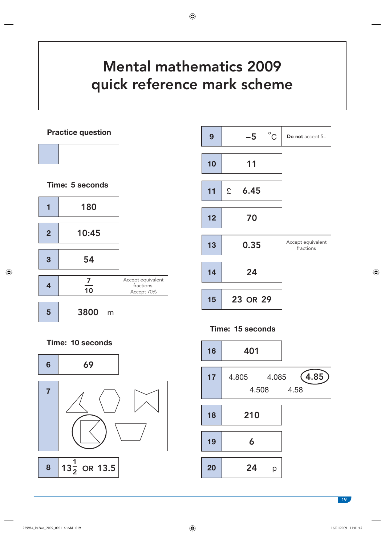# Mental mathematics 2009 quick reference mark scheme

**Practice question**



**Time: 5 seconds**





**Time: 15 seconds**



**Time: 10 seconds**

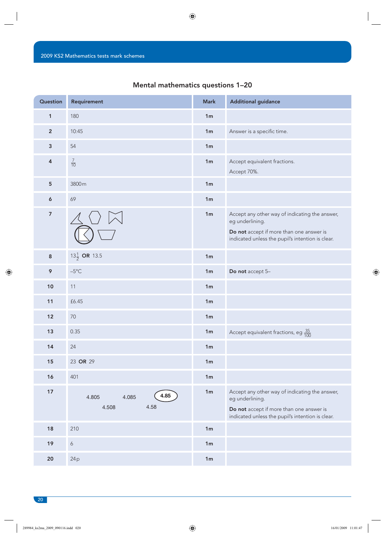#### Mental mathematics questions 1–20

| Question                | Requirement                             | <b>Mark</b>    | <b>Additional guidance</b>                                                                                                                                        |
|-------------------------|-----------------------------------------|----------------|-------------------------------------------------------------------------------------------------------------------------------------------------------------------|
| $\mathbf{1}$            | 180                                     | 1 <sub>m</sub> |                                                                                                                                                                   |
| $\overline{2}$          | 10:45                                   | 1 <sub>m</sub> | Answer is a specific time.                                                                                                                                        |
| $\mathbf{3}$            | 54                                      | 1 <sub>m</sub> |                                                                                                                                                                   |
| 4                       | $\frac{7}{10}$                          | 1 <sub>m</sub> | Accept equivalent fractions.<br>Accept 70%.                                                                                                                       |
| $5\phantom{.0}$         | 3800m                                   | 1 <sub>m</sub> |                                                                                                                                                                   |
| 6                       | 69                                      | 1m             |                                                                                                                                                                   |
| $\overline{\mathbf{z}}$ |                                         | 1 <sub>m</sub> | Accept any other way of indicating the answer,<br>eg underlining.<br>Do not accept if more than one answer is<br>indicated unless the pupil's intention is clear. |
| $\bf 8$                 | 13 $\frac{1}{2}$ OR 13.5                | 1 <sub>m</sub> |                                                                                                                                                                   |
| 9                       | $-5^{\circ}$ C                          | 1 <sub>m</sub> | Do not accept 5-                                                                                                                                                  |
| 10                      | 11                                      | 1 <sub>m</sub> |                                                                                                                                                                   |
| 11                      | £6.45                                   | 1 <sub>m</sub> |                                                                                                                                                                   |
| 12                      | $70\,$                                  | 1 <sub>m</sub> |                                                                                                                                                                   |
| 13                      | 0.35                                    | 1 <sub>m</sub> | Accept equivalent fractions, eg $\frac{35}{100}$                                                                                                                  |
| 14                      | 24                                      | 1 <sub>m</sub> |                                                                                                                                                                   |
| 15                      | 23 OR 29                                | 1m             |                                                                                                                                                                   |
| 16                      | 401                                     | 1 <sub>m</sub> |                                                                                                                                                                   |
| 17                      | 4.85<br>4.805<br>4.085<br>4.58<br>4.508 | 1 <sub>m</sub> | Accept any other way of indicating the answer,<br>eg underlining.<br>Do not accept if more than one answer is<br>indicated unless the pupil's intention is clear. |
| $18$                    | 210                                     | 1 <sub>m</sub> |                                                                                                                                                                   |
| 19                      | $\boldsymbol{6}$                        | 1 <sub>m</sub> |                                                                                                                                                                   |
| $20\,$                  | 24p                                     | 1m             |                                                                                                                                                                   |